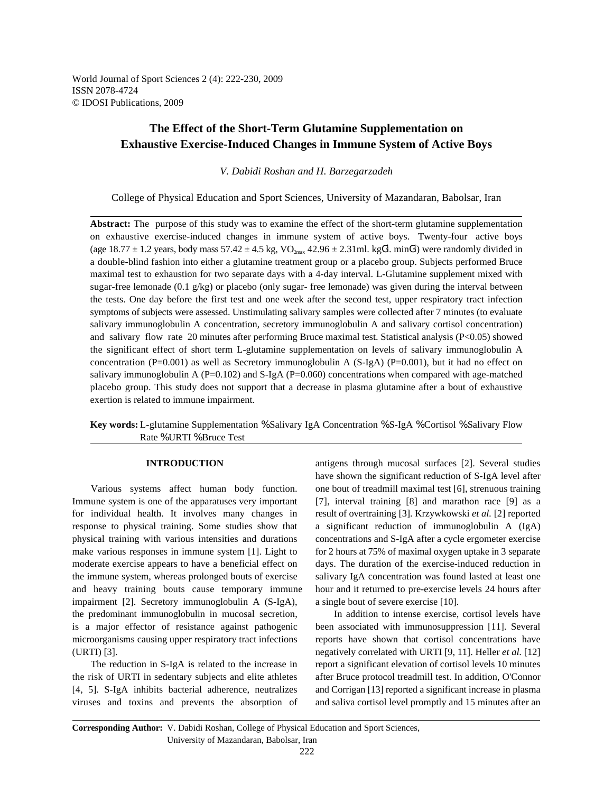World Journal of Sport Sciences 2 (4): 222-230, 2009 ISSN 2078-4724 © IDOSI Publications, 2009

# **The Effect of the Short-Term Glutamine Supplementation on Exhaustive Exercise-Induced Changes in Immune System of Active Boys**

*V. Dabidi Roshan and H. Barzegarzadeh*

College of Physical Education and Sport Sciences, University of Mazandaran, Babolsar, Iran

**Abstract:** The purpose of this study was to examine the effect of the short-term glutamine supplementation on exhaustive exercise-induced changes in immune system of active boys. Twenty-four active boys (age 18.77  $\pm$  1.2 years, body mass 57.42  $\pm$  4.5 kg, VO<sub>2max</sub> 42.96  $\pm$  2.31ml. kgG<sup>1</sup>. minG<sup>1</sup>) were randomly divided in a double-blind fashion into either a glutamine treatment group or a placebo group. Subjects performed Bruce maximal test to exhaustion for two separate days with a 4-day interval. L-Glutamine supplement mixed with sugar-free lemonade (0.1 g/kg) or placebo (only sugar- free lemonade) was given during the interval between the tests. One day before the first test and one week after the second test, upper respiratory tract infection symptoms of subjects were assessed. Unstimulating salivary samples were collected after 7 minutes (to evaluate salivary immunoglobulin A concentration, secretory immunoglobulin A and salivary cortisol concentration) and salivary flow rate 20 minutes after performing Bruce maximal test. Statistical analysis (P<0.05) showed the significant effect of short term L-glutamine supplementation on levels of salivary immunoglobulin A concentration (P=0.001) as well as Secretory immunoglobulin A (S-IgA) (P=0.001), but it had no effect on salivary immunoglobulin A  $(P=0.102)$  and S-IgA  $(P=0.060)$  concentrations when compared with age-matched placebo group. This study does not support that a decrease in plasma glutamine after a bout of exhaustive exertion is related to immune impairment.

**Key words:** L-glutamine Supplementation % Salivary IgA Concentration % S-IgA % Cortisol % Salivary Flow Rate % URTI % Bruce Test

Immune system is one of the apparatuses very important [7], interval training [8] and marathon race [9] as a for individual health. It involves many changes in result of overtraining [3]. Krzywkowski *et al.* [2] reported response to physical training. Some studies show that a significant reduction of immunoglobulin A (IgA) physical training with various intensities and durations concentrations and S-IgA after a cycle ergometer exercise make various responses in immune system  $[1]$ . Light to for 2 hours at 75% of maximal oxygen uptake in 3 separate moderate exercise appears to have a beneficial effect on days. The duration of the exercise-induced reduction in the immune system, whereas prolonged bouts of exercise salivary IgA concentration was found lasted at least one and heavy training bouts cause temporary immune hour and it returned to pre-exercise levels 24 hours after impairment [2]. Secretory immunoglobulin A (S-IgA), a single bout of severe exercise [10]. the predominant immunoglobulin in mucosal secretion, In addition to intense exercise, cortisol levels have is a major effector of resistance against pathogenic been associated with immunosuppression [11]. Several microorganisms causing upper respiratory tract infections reports have shown that cortisol concentrations have (URTI) [3]. negatively correlated with URTI [9, 11]. Heller *et al.* [12]

the risk of URTI in sedentary subjects and elite athletes after Bruce protocol treadmill test. In addition, O'Connor [4, 5]. S-IgA inhibits bacterial adherence, neutralizes and Corrigan [13] reported a significant increase in plasma viruses and toxins and prevents the absorption of and saliva cortisol level promptly and 15 minutes after an

**INTRODUCTION** antigens through mucosal surfaces [2]. Several studies Various systems affect human body function. one bout of treadmill maximal test [6], strenuous training have shown the significant reduction of S-IgA level after

The reduction in S-IgA is related to the increase in report a significant elevation of cortisol levels 10 minutes

**Corresponding Author:** V. Dabidi Roshan, College of Physical Education and Sport Sciences, University of Mazandaran, Babolsar, Iran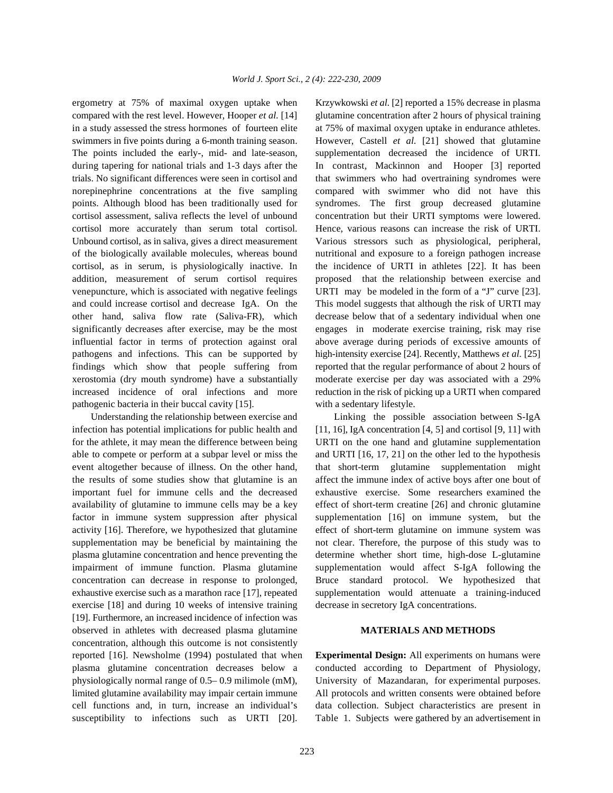compared with the rest level. However, Hooper *et al.* [14] glutamine concentration after 2 hours of physical training in a study assessed the stress hormones of fourteen elite at 75% of maximal oxygen uptake in endurance athletes. swimmers in five points during a 6-month training season. However, Castell *et al.* [21] showed that glutamine The points included the early-, mid- and late-season, supplementation decreased the incidence of URTI. during tapering for national trials and 1-3 days after the In contrast, Mackinnon and Hooper [3] reported trials. No significant differences were seen in cortisol and that swimmers who had overtraining syndromes were norepinephrine concentrations at the five sampling compared with swimmer who did not have this points. Although blood has been traditionally used for syndromes. The first group decreased glutamine cortisol assessment, saliva reflects the level of unbound concentration but their URTI symptoms were lowered. cortisol more accurately than serum total cortisol. Hence, various reasons can increase the risk of URTI. Unbound cortisol, as in saliva, gives a direct measurement Various stressors such as physiological, peripheral, of the biologically available molecules, whereas bound nutritional and exposure to a foreign pathogen increase cortisol, as in serum, is physiologically inactive. In the incidence of URTI in athletes [22]. It has been addition, measurement of serum cortisol requires proposed that the relationship between exercise and venepuncture, which is associated with negative feelings URTI may be modeled in the form of a "J" curve [23]. and could increase cortisol and decrease IgA. On the This model suggests that although the risk of URTI may other hand, saliva flow rate (Saliva-FR), which decrease below that of a sedentary individual when one significantly decreases after exercise, may be the most engages in moderate exercise training, risk may rise influential factor in terms of protection against oral above average during periods of excessive amounts of pathogens and infections. This can be supported by high-intensity exercise [24]. Recently, Matthews *et al.* [25] findings which show that people suffering from reported that the regular performance of about 2 hours of xerostomia (dry mouth syndrome) have a substantially moderate exercise per day was associated with a 29% increased incidence of oral infections and more reduction in the risk of picking up a URTI when compared pathogenic bacteria in their buccal cavity [15]. with a sedentary lifestyle.

infection has potential implications for public health and [11, 16], IgA concentration [4, 5] and cortisol [9, 11] with for the athlete, it may mean the difference between being URTI on the one hand and glutamine supplementation able to compete or perform at a subpar level or miss the and URTI [16, 17, 21] on the other led to the hypothesis event altogether because of illness. On the other hand, that short-term glutamine supplementation might the results of some studies show that glutamine is an affect the immune index of active boys after one bout of important fuel for immune cells and the decreased exhaustive exercise. Some researchers examined the availability of glutamine to immune cells may be a key effect of short-term creatine [26] and chronic glutamine factor in immune system suppression after physical supplementation [16] on immune system, but the activity [16]. Therefore, we hypothesized that glutamine effect of short-term glutamine on immune system was supplementation may be beneficial by maintaining the not clear. Therefore, the purpose of this study was to plasma glutamine concentration and hence preventing the determine whether short time, high-dose L-glutamine impairment of immune function. Plasma glutamine supplementation would affect S-IgA following the concentration can decrease in response to prolonged, Bruce standard protocol. We hypothesized that exhaustive exercise such as a marathon race [17], repeated supplementation would attenuate a training-induced exercise [18] and during 10 weeks of intensive training decrease in secretory IgA concentrations. [19]. Furthermore, an increased incidence of infection was observed in athletes with decreased plasma glutamine **MATERIALS AND METHODS** concentration, although this outcome is not consistently reported [16]. Newsholme (1994) postulated that when **Experimental Design:** All experiments on humans were plasma glutamine concentration decreases below a conducted according to Department of Physiology, physiologically normal range of 0.5– 0.9 milimole (mM), University of Mazandaran, for experimental purposes. limited glutamine availability may impair certain immune All protocols and written consents were obtained before cell functions and, in turn, increase an individual's data collection. Subject characteristics are present in

ergometry at 75% of maximal oxygen uptake when Krzywkowski *et al*. [2] reported a 15% decrease in plasma

Understanding the relationship between exercise and Linking the possible association between S-IgA

susceptibility to infections such as URTI [20]. Table 1. Subjects were gathered by an advertisement in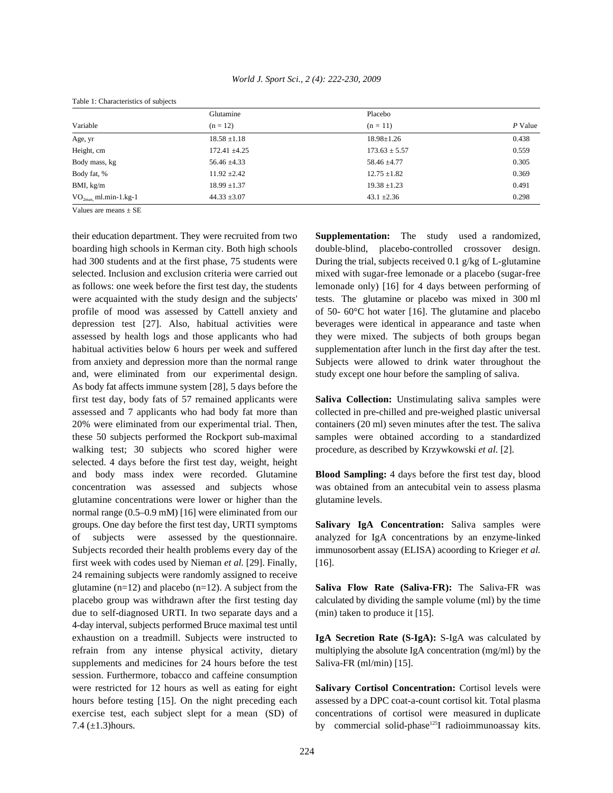|                        | Glutamine         | Placebo           |         |
|------------------------|-------------------|-------------------|---------|
| Variable               | $(n = 12)$        | $(n = 11)$        | P Value |
| Age, yr                | $18.58 \pm 1.18$  | $18.98 \pm 1.26$  | 0.438   |
| Height, cm             | $172.41 \pm 4.25$ | $173.63 \pm 5.57$ | 0.559   |
| Body mass, kg          | $56.46 \pm 4.33$  | $58.46 \pm 4.77$  | 0.305   |
| Body fat, %            | $11.92 \pm 2.42$  | $12.75 \pm 1.82$  | 0.369   |
| BMI, kg/m              | $18.99 \pm 1.37$  | $19.38 \pm 1.23$  | 0.491   |
| $VO2max$ ml.min-1.kg-1 | $44.33 \pm 3.07$  | $43.1 \pm 2.36$   | 0.298   |
| -- -<br>--             |                   |                   |         |

Table 1: Characteristics of subjects

Values are means  $\pm$  SE

boarding high schools in Kerman city. Both high schools double-blind, placebo-controlled crossover design. had 300 students and at the first phase, 75 students were During the trial, subjects received 0.1 g/kg of L-glutamine selected. Inclusion and exclusion criteria were carried out mixed with sugar-free lemonade or a placebo (sugar-free as follows: one week before the first test day, the students lemonade only) [16] for 4 days between performing of were acquainted with the study design and the subjects' tests. The glutamine or placebo was mixed in 300 ml profile of mood was assessed by Cattell anxiety and of 50- 60°C hot water [16]. The glutamine and placebo depression test [27]. Also, habitual activities were beverages were identical in appearance and taste when assessed by health logs and those applicants who had they were mixed. The subjects of both groups began habitual activities below 6 hours per week and suffered supplementation after lunch in the first day after the test. from anxiety and depression more than the normal range Subjects were allowed to drink water throughout the and, were eliminated from our experimental design. study except one hour before the sampling of saliva. As body fat affects immune system [28], 5 days before the first test day, body fats of 57 remained applicants were **Saliva Collection:** Unstimulating saliva samples were assessed and 7 applicants who had body fat more than collected in pre-chilled and pre-weighed plastic universal 20% were eliminated from our experimental trial. Then, containers (20 ml) seven minutes after the test. The saliva these 50 subjects performed the Rockport sub-maximal samples were obtained according to a standardized walking test; 30 subjects who scored higher were procedure, as described by Krzywkowski et al. [2]. selected. 4 days before the first test day, weight, height and body mass index were recorded. Glutamine **Blood Sampling:** 4 days before the first test day, blood concentration was assessed and subjects whose was obtained from an antecubital vein to assess plasma glutamine concentrations were lower or higher than the glutamine levels. normal range (0.5–0.9 mM) [16] were eliminated from our groups. One day before the first test day, URTI symptoms **Salivary IgA Concentration:** Saliva samples were of subjects were assessed by the questionnaire. analyzed for IgA concentrations by an enzyme-linked Subjects recorded their health problems every day of the immunosorbent assay (ELISA) acoording to Krieger *et al.* first week with codes used by Nieman *et al.* [29]. Finally, [16]. 24 remaining subjects were randomly assigned to receive glutamine (n=12) and placebo (n=12). A subject from the **Saliva Flow Rate (Saliva-FR):** The Saliva-FR was placebo group was withdrawn after the first testing day calculated by dividing the sample volume (ml) by the time due to self-diagnosed URTI. In two separate days and a (min) taken to produce it [15]. 4-day interval, subjects performed Bruce maximal test until exhaustion on a treadmill. Subjects were instructed to **IgA Secretion Rate (S-IgA):** S-IgA was calculated by refrain from any intense physical activity, dietary multiplying the absolute IgA concentration (mg/ml) by the supplements and medicines for 24 hours before the test Saliva-FR (ml/min) [15]. session. Furthermore, tobacco and caffeine consumption were restricted for 12 hours as well as eating for eight **Salivary Cortisol Concentration:** Cortisol levels were hours before testing [15]. On the night preceding each assessed by a DPC coat-a-count cortisol kit. Total plasma exercise test, each subject slept for a mean (SD) of concentrations of cortisol were measured in duplicate 7.4 (±1.3)hours. by commercial solid-phase<sup>125</sup>I radioimmunoassay kits.

their education department. They were recruited from two **Supplementation:** The study used a randomized,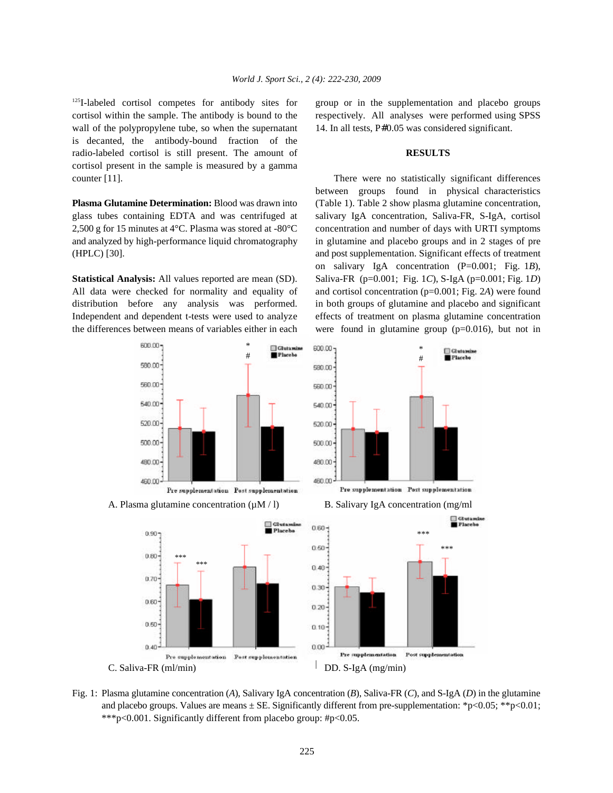$125$ I-labeled cortisol competes for antibody sites for cortisol within the sample. The antibody is bound to the respectively. All analyses were performed using SPSS wall of the polypropylene tube, so when the supernatant 14. In all tests, P#0.05 was considered significant. is decanted, the antibody-bound fraction of the radio-labeled cortisol is still present. The amount of **RESULTS** cortisol present in the sample is measured by a gamma counter [11]. There were no statistically significant differences

glass tubes containing EDTA and was centrifuged at salivary IgA concentration, Saliva-FR, S-IgA, cortisol 2,500 g for 15 minutes at 4°C. Plasma was stored at -80°C concentration and number of days with URTI symptoms and analyzed by high-performance liquid chromatography in glutamine and placebo groups and in 2 stages of pre (HPLC) [30]. and post supplementation. Significant effects of treatment

All data were checked for normality and equality of and cortisol concentration (p=0.001; Fig. 2*A*) were found distribution before any analysis was performed. in both groups of glutamine and placebo and significant Independent and dependent t-tests were used to analyze effects of treatment on plasma glutamine concentration the differences between means of variables either in each were found in glutamine group (p=0.016), but not in

group or in the supplementation and placebo groups

**Plasma Glutamine Determination:** Blood was drawn into (Table 1). Table 2 show plasma glutamine concentration, **Statistical Analysis:** All values reported are mean (SD). Saliva-FR (p=0.001; Fig. 1*C*), S-IgA (p=0.001; Fig. 1*D*) between groups found in physical characteristics on salivary IgA concentration (P=0.001; Fig. 1*B*),









Pro supplementation Post supplementation



Fig. 1: Plasma glutamine concentration (*A*), Salivary IgA concentration (*B*), Saliva-FR (*C*), and S-IgA (*D*) in the glutamine and placebo groups. Values are means  $\pm$  SE. Significantly different from pre-supplementation: \*p<0.05; \*\*p<0.01; \*\*\*p<0.001. Significantly different from placebo group: #p<0.05.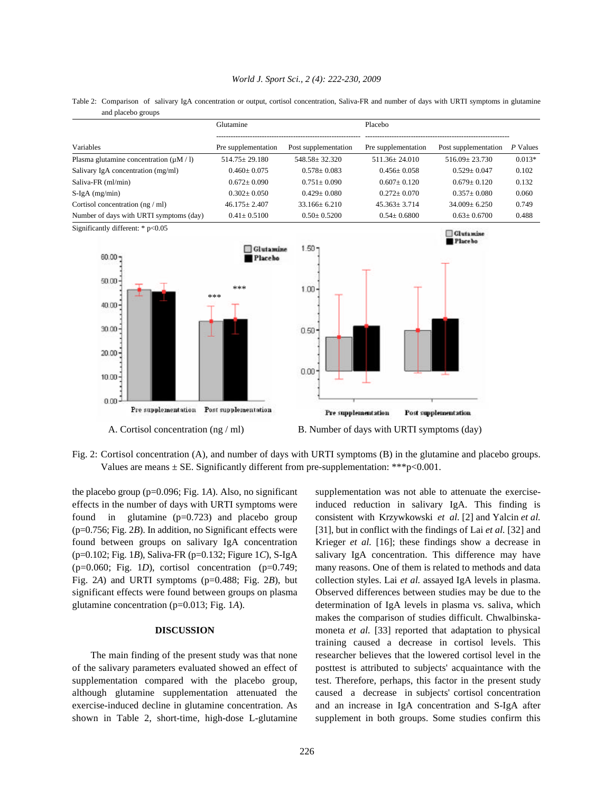Table 2: Comparison of salivary IgA concentration or output, cortisol concentration, Saliva-FR and number of days with URTI symptoms in glutamine and placebo groups

|                                                                               | Glutamine                          |                                  | Placebo                                    |                             |            |
|-------------------------------------------------------------------------------|------------------------------------|----------------------------------|--------------------------------------------|-----------------------------|------------|
| Variables                                                                     | Pre supplementation                | Post supplementation             | Pre supplementation                        | Post supplementation        | $P$ Values |
| Plasma glutamine concentration $(\mu M / I)$                                  | $514.75 \pm 29.180$                | $548.58 \pm 32.320$              | $511.36 \pm 24.010$                        | $516.09 \pm 23.730$         | $0.013*$   |
| Salivary IgA concentration (mg/ml)                                            | $0.460 \pm 0.075$                  | $0.578 \pm 0.083$                | $0.456 \pm 0.058$                          | $0.529 \pm 0.047$           | 0.102      |
| Saliva-FR (ml/min)                                                            | $0.672 \pm 0.090$                  | $0.751 \pm 0.090$                | $0.607 \pm 0.120$                          | $0.679 \pm 0.120$           | 0.132      |
| $S-IgA$ (mg/min)                                                              | $0.302 \pm 0.050$                  | $0.429 \pm 0.080$                | $0.272 \pm 0.070$                          | $0.357 \pm 0.080$           | 0.060      |
| Cortisol concentration (ng / ml)                                              | $46.175 \pm 2.407$                 | $33.166 \pm 6.210$               | $45.363 \pm 3.714$                         | $34.009 \pm 6.250$          | 0.749      |
| Number of days with URTI symptoms (day)                                       | $0.41 \pm 0.5100$                  | $0.50 \pm 0.5200$                | $0.54 \pm 0.6800$                          | $0.63 \pm 0.6700$           | 0.488      |
| Significantly different: * p<0.05<br>$60.00 -$<br>50.00<br>$40.00 -$<br>30.00 | Glutamine<br>Placebo<br>***<br>*** | $1.50 -$<br>$1.00 -$<br>$0.50 -$ |                                            | Glutamine<br><b>Placebo</b> |            |
| $20.00 \cdot$<br>10.00<br>0.00<br>Pre supplementation                         | Post supplementation               | $0.00^{\circ}$                   |                                            |                             |            |
| A. Cortisol concentration $(ng/ml)$                                           |                                    | Pre supplementation              | B. Number of days with URTI symptoms (day) | Post supplementation        |            |

Fig. 2: Cortisol concentration (A), and number of days with URTI symptoms (B) in the glutamine and placebo groups. Values are means  $\pm$  SE. Significantly different from pre-supplementation: \*\*\* p<0.001.

the placebo group (p=0.096; Fig. 1*A*). Also, no significant supplementation was not able to attenuate the exercise-

shown in Table 2, short-time, high-dose L-glutamine supplement in both groups. Some studies confirm this

effects in the number of days with URTI symptoms were induced reduction in salivary IgA. This finding is found in glutamine (p=0.723) and placebo group consistent with Krzywkowski *et al.* [2] and Yalcin *et al.* (p=0.756; Fig. 2*B*). In addition, no Significant effects were [31], but in conflict with the findings of Lai *et al.* [32] and found between groups on salivary IgA concentration Krieger *et al.* [16]; these findings show a decrease in (p=0.102; Fig. 1*B*), Saliva-FR (p=0.132; Figure 1*C*), S-IgA salivary IgA concentration. This difference may have (p=0.060; Fig. 1*D*), cortisol concentration (p=0.749; many reasons. One of them is related to methods and data Fig. 2*A*) and URTI symptoms (p=0.488; Fig. 2*B*), but collection styles. Lai *et al.* assayed IgA levels in plasma. significant effects were found between groups on plasma Observed differences between studies may be due to the glutamine concentration (p=0.013; Fig. 1*A*). determination of IgA levels in plasma vs. saliva, which **DISCUSSION** moneta *et al.* [33] reported that adaptation to physical The main finding of the present study was that none researcher believes that the lowered cortisol level in the of the salivary parameters evaluated showed an effect of posttest is attributed to subjects' acquaintance with the supplementation compared with the placebo group, test. Therefore, perhaps, this factor in the present study although glutamine supplementation attenuated the caused a decrease in subjects' cortisol concentration exercise-induced decline in glutamine concentration. As and an increase in IgA concentration and S-IgA after makes the comparison of studies difficult. Chwalbinskatraining caused a decrease in cortisol levels. This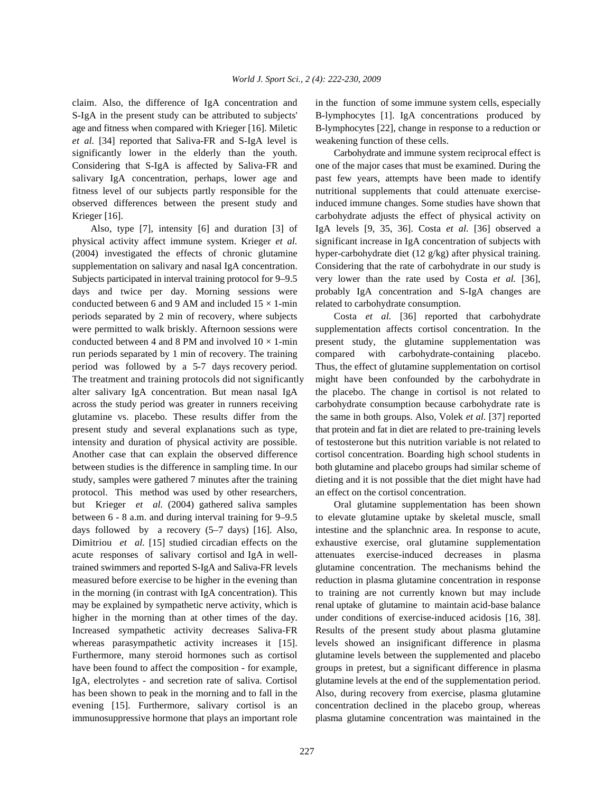S-IgA in the present study can be attributed to subjects' B-lymphocytes [1]. IgA concentrations produced by age and fitness when compared with Krieger [16]. Miletic B-lymphocytes [22], change in response to a reduction or *et al.* [34] reported that Saliva-FR and S-IgA level is weakening function of these cells. significantly lower in the elderly than the youth. Carbohydrate and immune system reciprocal effect is Considering that S-IgA is affected by Saliva-FR and one of the major cases that must be examined. During the salivary IgA concentration, perhaps, lower age and past few years, attempts have been made to identify fitness level of our subjects partly responsible for the nutritional supplements that could attenuate exerciseobserved differences between the present study and induced immune changes. Some studies have shown that Krieger [16]. **carbohydrate adjusts the effect of physical activity on** carbohydrate adjusts the effect of physical activity on

physical activity affect immune system. Krieger *et al.* significant increase in IgA concentration of subjects with (2004) investigated the effects of chronic glutamine hyper-carbohydrate diet  $(12 \text{ g/kg})$  after physical training. supplementation on salivary and nasal IgA concentration. Considering that the rate of carbohydrate in our study is Subjects participated in interval training protocol for 9–9.5 very lower than the rate used by Costa *et al.* [36], days and twice per day. Morning sessions were probably IgA concentration and S-IgA changes are conducted between 6 and 9 AM and included  $15 \times 1$ -min related to carbohydrate consumption. periods separated by 2 min of recovery, where subjects Costa *et al.* [36] reported that carbohydrate were permitted to walk briskly. Afternoon sessions were supplementation affects cortisol concentration. In the conducted between 4 and 8 PM and involved  $10 \times 1$ -min present study, the glutamine supplementation was run periods separated by 1 min of recovery. The training compared with carbohydrate-containing placebo. period was followed by a 5-7 days recovery period. Thus, the effect of glutamine supplementation on cortisol The treatment and training protocols did not significantly might have been confounded by the carbohydrate in alter salivary IgA concentration. But mean nasal IgA the placebo. The change in cortisol is not related to across the study period was greater in runners receiving carbohydrate consumption because carbohydrate rate is glutamine vs. placebo. These results differ from the the same in both groups. Also, Volek *et al.* [37] reported present study and several explanations such as type, that protein and fat in diet are related to pre-training levels intensity and duration of physical activity are possible. of testosterone but this nutrition variable is not related to Another case that can explain the observed difference cortisol concentration. Boarding high school students in between studies is the difference in sampling time. In our both glutamine and placebo groups had similar scheme of study, samples were gathered 7 minutes after the training dieting and it is not possible that the diet might have had protocol. This method was used by other researchers, an effect on the cortisol concentration. but Krieger *et al.* (2004) gathered saliva samples Oral glutamine supplementation has been shown between 6 - 8 a.m. and during interval training for 9–9.5 to elevate glutamine uptake by skeletal muscle, small days followed by a recovery  $(5-7 \text{ days})$  [16]. Also, intestine and the splanchnic area. In response to acute, Dimitriou *et al.* [15] studied circadian effects on the exhaustive exercise, oral glutamine supplementation acute responses of salivary cortisol and IgA in well- attenuates exercise-induced decreases in plasma trained swimmers and reported S-IgA and Saliva-FR levels glutamine concentration. The mechanisms behind the measured before exercise to be higher in the evening than reduction in plasma glutamine concentration in response in the morning (in contrast with IgA concentration). This to training are not currently known but may include may be explained by sympathetic nerve activity, which is renal uptake of glutamine to maintain acid-base balance higher in the morning than at other times of the day. under conditions of exercise-induced acidosis [16, 38]. Increased sympathetic activity decreases Saliva-FR Results of the present study about plasma glutamine whereas parasympathetic activity increases it [15]. levels showed an insignificant difference in plasma Furthermore, many steroid hormones such as cortisol glutamine levels between the supplemented and placebo have been found to affect the composition - for example, groups in pretest, but a significant difference in plasma IgA, electrolytes - and secretion rate of saliva. Cortisol glutamine levels at the end of the supplementation period. has been shown to peak in the morning and to fall in the Also, during recovery from exercise, plasma glutamine evening [15]. Furthermore, salivary cortisol is an concentration declined in the placebo group, whereas immunosuppressive hormone that plays an important role plasma glutamine concentration was maintained in the

claim. Also, the difference of IgA concentration and in the function of some immune system cells, especially

Also, type [7], intensity [6] and duration [3] of IgA levels [9, 35, 36]. Costa *et al.* [36] observed a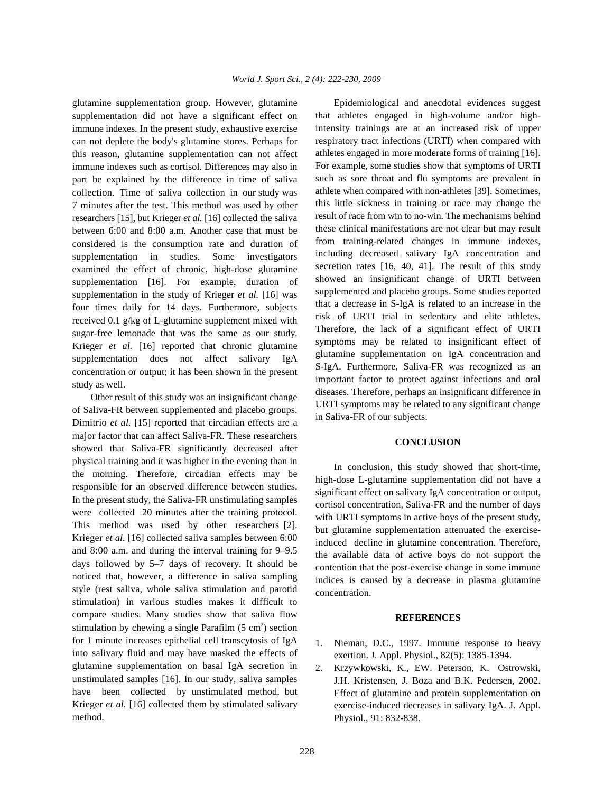glutamine supplementation group. However, glutamine Epidemiological and anecdotal evidences suggest supplementation did not have a significant effect on immune indexes. In the present study, exhaustive exercise can not deplete the body's glutamine stores. Perhaps for this reason, glutamine supplementation can not affect immune indexes such as cortisol. Differences may also in part be explained by the difference in time of saliva collection. Time of saliva collection in our study was 7 minutes after the test. This method was used by other researchers [15], but Krieger *et al.* [16] collected the saliva between 6:00 and 8:00 a.m. Another case that must be considered is the consumption rate and duration of supplementation in studies. Some investigators examined the effect of chronic, high-dose glutamine supplementation [16]. For example, duration of supplementation in the study of Krieger *et al.* [16] was four times daily for 14 days. Furthermore, subjects received 0.1 g/kg of L-glutamine supplement mixed with sugar-free lemonade that was the same as our study. Krieger *et al.* [16] reported that chronic glutamine supplementation does not affect salivary IgA concentration or output; it has been shown in the present study as well.

Other result of this study was an insignificant change of Saliva-FR between supplemented and placebo groups. Dimitrio *et al.* [15] reported that circadian effects are a major factor that can affect Saliva-FR. These researchers showed that Saliva-FR significantly decreased after physical training and it was higher in the evening than in the morning. Therefore, circadian effects may be responsible for an observed difference between studies. In the present study, the Saliva-FR unstimulating samples were collected 20 minutes after the training protocol. This method was used by other researchers [2]. Krieger *et al.* [16] collected saliva samples between 6:00 and 8:00 a.m. and during the interval training for 9–9.5 days followed by 5–7 days of recovery. It should be noticed that, however, a difference in saliva sampling style (rest saliva, whole saliva stimulation and parotid stimulation) in various studies makes it difficult to compare studies. Many studies show that saliva flow stimulation by chewing a single Parafilm  $(5 \text{ cm}^2)$  section for 1 minute increases epithelial cell transcytosis of IgA into salivary fluid and may have masked the effects of glutamine supplementation on basal IgA secretion in unstimulated samples [16]. In our study, saliva samples have been collected by unstimulated method, but Krieger *et al.* [16] collected them by stimulated salivary method.

that athletes engaged in high-volume and/or highintensity trainings are at an increased risk of upper respiratory tract infections (URTI) when compared with athletes engaged in more moderate forms of training [16]. For example, some studies show that symptoms of URTI such as sore throat and flu symptoms are prevalent in athlete when compared with non-athletes [39]. Sometimes, this little sickness in training or race may change the result of race from win to no-win. The mechanisms behind these clinical manifestations are not clear but may result from training-related changes in immune indexes, including decreased salivary IgA concentration and secretion rates [16, 40, 41]. The result of this study showed an insignificant change of URTI between supplemented and placebo groups. Some studies reported that a decrease in S-IgA is related to an increase in the risk of URTI trial in sedentary and elite athletes. Therefore, the lack of a significant effect of URTI symptoms may be related to insignificant effect of glutamine supplementation on IgA concentration and S-IgA. Furthermore, Saliva-FR was recognized as an important factor to protect against infections and oral diseases. Therefore, perhaps an insignificant difference in URTI symptoms may be related to any significant change in Saliva-FR of our subjects.

## **CONCLUSION**

In conclusion, this study showed that short-time, high-dose L-glutamine supplementation did not have a significant effect on salivary IgA concentration or output, cortisol concentration, Saliva-FR and the number of days with URTI symptoms in active boys of the present study, but glutamine supplementation attenuated the exerciseinduced decline in glutamine concentration. Therefore, the available data of active boys do not support the contention that the post-exercise change in some immune indices is caused by a decrease in plasma glutamine concentration.

### **REFERENCES**

- 1. Nieman, D.C., 1997. Immune response to heavy exertion. J. Appl. Physiol., 82(5): 1385-1394.
- 2. Krzywkowski, K., EW. Peterson, K. Ostrowski, J.H. Kristensen, J. Boza and B.K. Pedersen, 2002. Effect of glutamine and protein supplementation on exercise-induced decreases in salivary IgA. J. Appl. Physiol., 91: 832-838.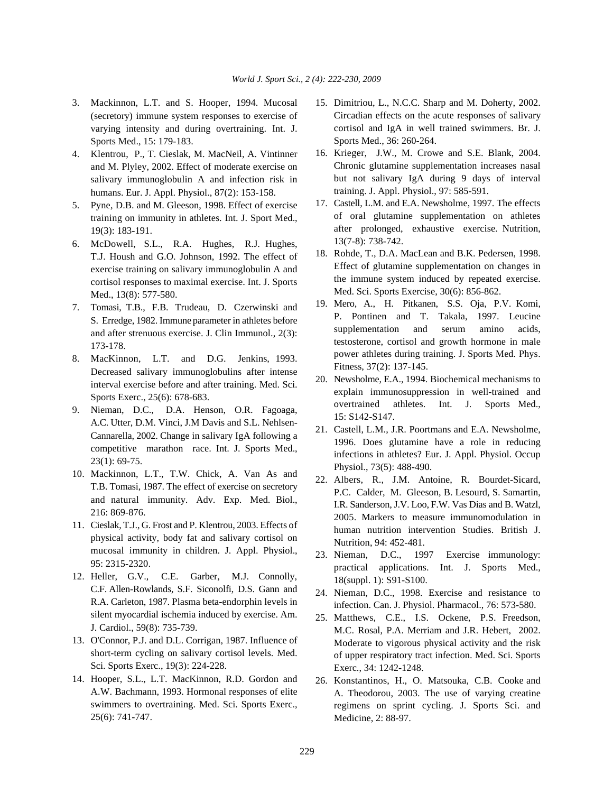- (secretory) immune system responses to exercise of varying intensity and during overtraining. Int. J. Sports Med., 15: 179-183.
- 4. Klentrou, P., T. Cieslak, M. MacNeil, A. Vintinner and M. Plyley, 2002. Effect of moderate exercise on salivary immunoglobulin A and infection risk in humans. Eur. J. Appl. Physiol., 87(2): 153-158.
- 5. Pyne, D.B. and M. Gleeson, 1998. Effect of exercise training on immunity in athletes. Int. J. Sport Med., 19(3): 183-191.
- 6. McDowell, S.L., R.A. Hughes, R.J. Hughes, T.J. Housh and G.O. Johnson, 1992. The effect of exercise training on salivary immunoglobulin A and cortisol responses to maximal exercise. Int. J. Sports Med., 13(8): 577-580.
- 7. Tomasi, T.B., F.B. Trudeau, D. Czerwinski and S. Erredge, 1982. Immune parameter in athletes before and after strenuous exercise. J. Clin Immunol., 2(3): 173-178.
- 8. MacKinnon, L.T. and D.G. Jenkins, 1993. Decreased salivary immunoglobulins after intense interval exercise before and after training. Med. Sci. Sports Exerc., 25(6): 678-683.
- 9. Nieman, D.C., D.A. Henson, O.R. Fagoaga, A.C. Utter, D.M. Vinci, J.M Davis and S.L. Nehlsen-Cannarella, 2002. Change in salivary IgA following a competitive marathon race. Int. J. Sports Med., 23(1): 69-75.
- 10. Mackinnon, L.T., T.W. Chick, A. Van As and T.B. Tomasi, 1987. The effect of exercise on secretory and natural immunity. Adv. Exp. Med. Biol., 216: 869-876.
- 11. Cieslak, T.J., G. Frost and P. Klentrou, 2003. Effects of physical activity, body fat and salivary cortisol on mucosal immunity in children. J. Appl. Physiol., 95: 2315-2320.
- 12. Heller, G.V., C.E. Garber, M.J. Connolly, C.F. Allen-Rowlands, S.F. Siconolfi, D.S. Gann and R.A. Carleton, 1987. Plasma beta-endorphin levels in silent myocardial ischemia induced by exercise. Am. J. Cardiol., 59(8): 735-739.
- 13. O'Connor, P.J. and D.L. Corrigan, 1987. Influence of short-term cycling on salivary cortisol levels. Med. Sci. Sports Exerc., 19(3): 224-228.
- 14. Hooper, S.L., L.T. MacKinnon, R.D. Gordon and A.W. Bachmann, 1993. Hormonal responses of elite swimmers to overtraining. Med. Sci. Sports Exerc., 25(6): 741-747.
- 3. Mackinnon, L.T. and S. Hooper, 1994. Mucosal 15. Dimitriou, L., N.C.C. Sharp and M. Doherty, 2002. Circadian effects on the acute responses of salivary cortisol and IgA in well trained swimmers. Br. J. Sports Med., 36: 260-264.
	- 16. Krieger, J.W., M. Crowe and S.E. Blank, 2004. Chronic glutamine supplementation increases nasal but not salivary IgA during 9 days of interval training. J. Appl. Physiol., 97: 585-591.
	- 17. Castell, L.M. and E.A. Newsholme, 1997. The effects of oral glutamine supplementation on athletes after prolonged, exhaustive exercise. Nutrition, 13(7-8): 738-742.
	- 18. Rohde, T., D.A. MacLean and B.K. Pedersen, 1998. Effect of glutamine supplementation on changes in the immune system induced by repeated exercise. Med. Sci. Sports Exercise, 30(6): 856-862.
	- 19. Mero, A., H. Pitkanen, S.S. Oja, P.V. Komi, P. Pontinen and T. Takala, 1997. Leucine supplementation and serum amino acids, testosterone, cortisol and growth hormone in male power athletes during training. J. Sports Med. Phys. Fitness, 37(2): 137-145.
	- 20. Newsholme, E.A., 1994. Biochemical mechanisms to explain immunosuppression in well-trained and overtrained athletes. Int. J. Sports Med., 15: S142-S147.
	- 21. Castell, L.M., J.R. Poortmans and E.A. Newsholme, 1996. Does glutamine have a role in reducing infections in athletes? Eur. J. Appl. Physiol. Occup Physiol., 73(5): 488-490.
	- 22. Albers, R., J.M. Antoine, R. Bourdet-Sicard, P.C. Calder, M. Gleeson, B. Lesourd, S. Samartin, I.R. Sanderson, J.V. Loo, F.W. Vas Dias and B. Watzl, 2005. Markers to measure immunomodulation in human nutrition intervention Studies. British J. Nutrition, 94: 452-481.
	- 23. Nieman, D.C., 1997 Exercise immunology: practical applications. Int. J. Sports Med., 18(suppl. 1): S91-S100.
	- 24. Nieman, D.C., 1998. Exercise and resistance to infection. Can. J. Physiol. Pharmacol., 76: 573-580.
	- 25. Matthews, C.E., I.S. Ockene, P.S. Freedson, M.C. Rosal, P.A. Merriam and J.R. Hebert, 2002. Moderate to vigorous physical activity and the risk of upper respiratory tract infection. Med. Sci. Sports Exerc., 34: 1242-1248.
	- 26. Konstantinos, H., O. Matsouka, C.B. Cooke and A. Theodorou, 2003. The use of varying creatine regimens on sprint cycling. J. Sports Sci. and Medicine, 2: 88-97.